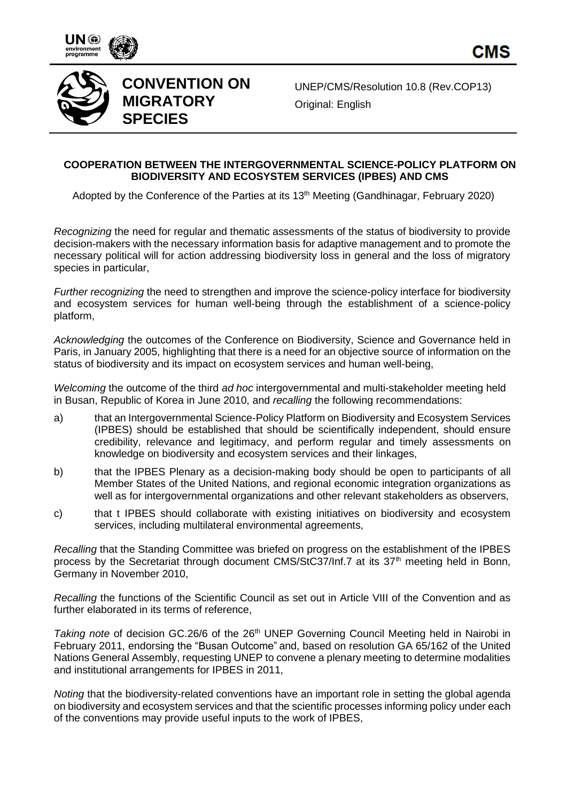



## **CONVENTION ON MIGRATORY SPECIES**

UNEP/CMS/Resolution 10.8 (Rev.COP13) Original: English

## **COOPERATION BETWEEN THE INTERGOVERNMENTAL SCIENCE-POLICY PLATFORM ON BIODIVERSITY AND ECOSYSTEM SERVICES (IPBES) AND CMS**

Adopted by the Conference of the Parties at its 13<sup>th</sup> Meeting (Gandhinagar, February 2020)

*Recognizing* the need for regular and thematic assessments of the status of biodiversity to provide decision-makers with the necessary information basis for adaptive management and to promote the necessary political will for action addressing biodiversity loss in general and the loss of migratory species in particular,

*Further recognizing* the need to strengthen and improve the science-policy interface for biodiversity and ecosystem services for human well-being through the establishment of a science-policy platform,

*Acknowledging* the outcomes of the Conference on Biodiversity, Science and Governance held in Paris, in January 2005, highlighting that there is a need for an objective source of information on the status of biodiversity and its impact on ecosystem services and human well-being,

*Welcoming* the outcome of the third *ad hoc* intergovernmental and multi-stakeholder meeting held in Busan, Republic of Korea in June 2010, and *recalling* the following recommendations:

- a) that an Intergovernmental Science-Policy Platform on Biodiversity and Ecosystem Services (IPBES) should be established that should be scientifically independent, should ensure credibility, relevance and legitimacy, and perform regular and timely assessments on knowledge on biodiversity and ecosystem services and their linkages,
- b) that the IPBES Plenary as a decision-making body should be open to participants of all Member States of the United Nations, and regional economic integration organizations as well as for intergovernmental organizations and other relevant stakeholders as observers,
- c) that t IPBES should collaborate with existing initiatives on biodiversity and ecosystem services, including multilateral environmental agreements,

*Recalling* that the Standing Committee was briefed on progress on the establishment of the IPBES process by the Secretariat through document CMS/StC37/Inf.7 at its  $37<sup>th</sup>$  meeting held in Bonn, Germany in November 2010,

*Recalling* the functions of the Scientific Council as set out in Article VIII of the Convention and as further elaborated in its terms of reference,

Taking note of decision GC.26/6 of the 26<sup>th</sup> UNEP Governing Council Meeting held in Nairobi in February 2011, endorsing the "Busan Outcome" and, based on resolution GA 65/162 of the United Nations General Assembly, requesting UNEP to convene a plenary meeting to determine modalities and institutional arrangements for IPBES in 2011,

*Noting* that the biodiversity-related conventions have an important role in setting the global agenda on biodiversity and ecosystem services and that the scientific processes informing policy under each of the conventions may provide useful inputs to the work of IPBES,